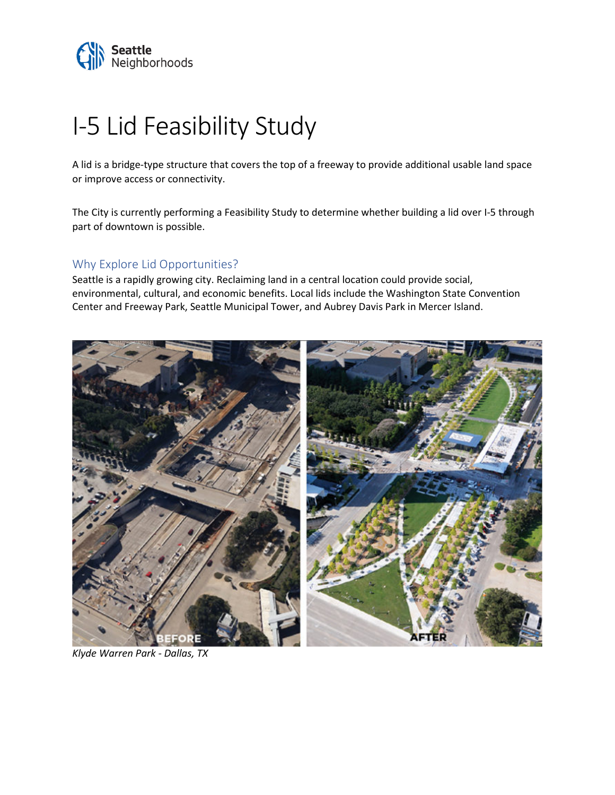

# I-5 Lid Feasibility Study

A lid is a bridge-type structure that covers the top of a freeway to provide additional usable land space or improve access or connectivity.

The City is currently performing a Feasibility Study to determine whether building a lid over I-5 through part of downtown is possible.

## Why Explore Lid Opportunities?

Seattle is a rapidly growing city. Reclaiming land in a central location could provide social, environmental, cultural, and economic benefits. Local lids include the Washington State Convention Center and Freeway Park, Seattle Municipal Tower, and Aubrey Davis Park in Mercer Island.



*Klyde Warren Park - Dallas, TX*